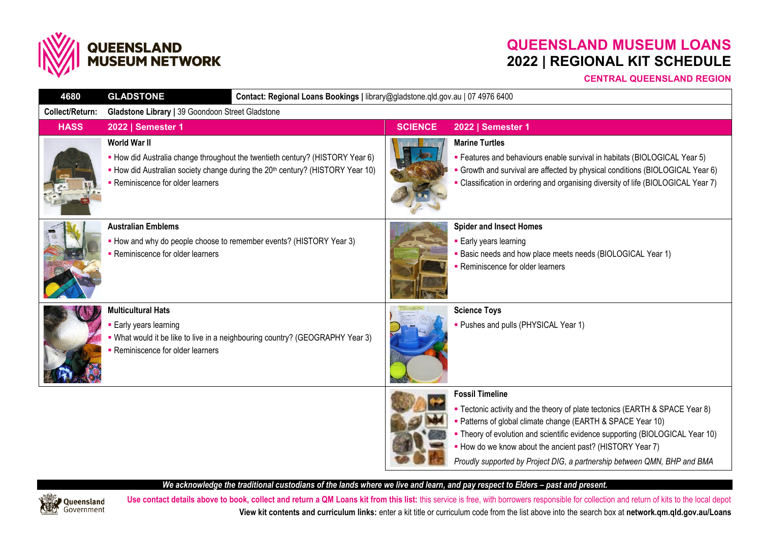

# **QUEENSLAND MUSEUM LOANS 2022 | REGIONAL KIT SCHEDULE**

### **CENTRAL QUEENSLAND REGION**

| 4680            | Contact: Regional Loans Bookings   library@gladstone.qld.gov.au   07 4976 6400<br><b>GLADSTONE</b>                                                                                                                                      |  |                |                                                                                                                                                                                                                                                                                                                                                                                                 |  |  |
|-----------------|-----------------------------------------------------------------------------------------------------------------------------------------------------------------------------------------------------------------------------------------|--|----------------|-------------------------------------------------------------------------------------------------------------------------------------------------------------------------------------------------------------------------------------------------------------------------------------------------------------------------------------------------------------------------------------------------|--|--|
| Collect/Return: | Gladstone Library   39 Goondoon Street Gladstone                                                                                                                                                                                        |  |                |                                                                                                                                                                                                                                                                                                                                                                                                 |  |  |
| <b>HASS</b>     | 2022   Semester 1                                                                                                                                                                                                                       |  | <b>SCIENCE</b> | 2022   Semester 1                                                                                                                                                                                                                                                                                                                                                                               |  |  |
|                 | <b>World War II</b><br>• How did Australia change throughout the twentieth century? (HISTORY Year 6)<br>• How did Australian society change during the 20 <sup>th</sup> century? (HISTORY Year 10)<br>• Reminiscence for older learners |  |                | <b>Marine Turtles</b><br>• Features and behaviours enable survival in habitats (BIOLOGICAL Year 5)<br>Growth and survival are affected by physical conditions (BIOLOGICAL Year 6)<br>• Classification in ordering and organising diversity of life (BIOLOGICAL Year 7)                                                                                                                          |  |  |
|                 | <b>Australian Emblems</b><br>• How and why do people choose to remember events? (HISTORY Year 3)<br>• Reminiscence for older learners                                                                                                   |  |                | <b>Spider and Insect Homes</b><br>• Early years learning<br><b>Basic needs and how place meets needs (BIOLOGICAL Year 1)</b><br>- Reminiscence for older learners                                                                                                                                                                                                                               |  |  |
|                 | <b>Multicultural Hats</b><br>• Early years learning<br>. What would it be like to live in a neighbouring country? (GEOGRAPHY Year 3)<br>• Reminiscence for older learners                                                               |  |                | <b>Science Toys</b><br>- Pushes and pulls (PHYSICAL Year 1)                                                                                                                                                                                                                                                                                                                                     |  |  |
|                 |                                                                                                                                                                                                                                         |  |                | <b>Fossil Timeline</b><br>• Tectonic activity and the theory of plate tectonics (EARTH & SPACE Year 8)<br>- Patterns of global climate change (EARTH & SPACE Year 10)<br>• Theory of evolution and scientific evidence supporting (BIOLOGICAL Year 10)<br>• How do we know about the ancient past? (HISTORY Year 7)<br>Proudly supported by Project DIG, a partnership between QMN, BHP and BMA |  |  |

### *We acknowledge the traditional custodians of the lands where we live and learn, and pay respect to Elders - past and present.*



Use contact details above to book, collect and return a QM Loans kit from this list: this service is free, with borrowers responsible for collection and return of kits to the local depot **View kit contents and curriculum links:** enter a kit title or curriculum code from the list above into the search box at **network.qm.qld.gov.au/Loans**